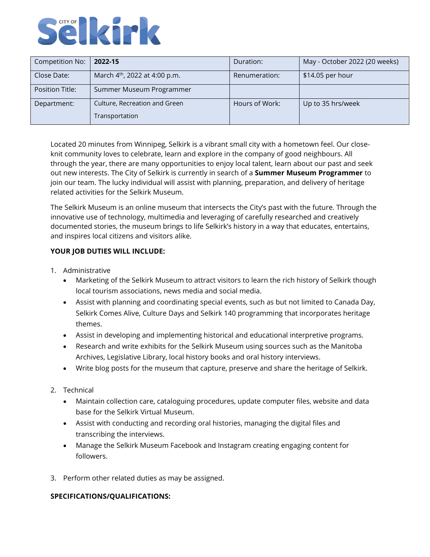

| Competition No:        | 2022-15                                   | Duration:      | May - October 2022 (20 weeks) |
|------------------------|-------------------------------------------|----------------|-------------------------------|
| Close Date:            | March 4 <sup>th</sup> , 2022 at 4:00 p.m. | Renumeration:  | \$14.05 per hour              |
| <b>Position Title:</b> | Summer Museum Programmer                  |                |                               |
| Department:            | Culture, Recreation and Green             | Hours of Work: | Up to 35 hrs/week             |
|                        | Transportation                            |                |                               |

Located 20 minutes from Winnipeg, Selkirk is a vibrant small city with a hometown feel. Our closeknit community loves to celebrate, learn and explore in the company of good neighbours. All through the year, there are many opportunities to enjoy local talent, learn about our past and seek out new interests. The City of Selkirk is currently in search of a **Summer Museum Programmer** to join our team. The lucky individual will assist with planning, preparation, and delivery of heritage related activities for the Selkirk Museum.

The Selkirk Museum is an online museum that intersects the City's past with the future. Through the innovative use of technology, multimedia and leveraging of carefully researched and creatively documented stories, the museum brings to life Selkirk's history in a way that educates, entertains, and inspires local citizens and visitors alike.

## **YOUR JOB DUTIES WILL INCLUDE:**

- 1. Administrative
	- Marketing of the Selkirk Museum to attract visitors to learn the rich history of Selkirk though local tourism associations, news media and social media.
	- Assist with planning and coordinating special events, such as but not limited to Canada Day, Selkirk Comes Alive, Culture Days and Selkirk 140 programming that incorporates heritage themes.
	- Assist in developing and implementing historical and educational interpretive programs.
	- Research and write exhibits for the Selkirk Museum using sources such as the Manitoba Archives, Legislative Library, local history books and oral history interviews.
	- Write blog posts for the museum that capture, preserve and share the heritage of Selkirk.
- 2. Technical
	- Maintain collection care, cataloguing procedures, update computer files, website and data base for the Selkirk Virtual Museum.
	- Assist with conducting and recording oral histories, managing the digital files and transcribing the interviews.
	- Manage the Selkirk Museum Facebook and Instagram creating engaging content for followers.
- 3. Perform other related duties as may be assigned.

## **SPECIFICATIONS/QUALIFICATIONS:**